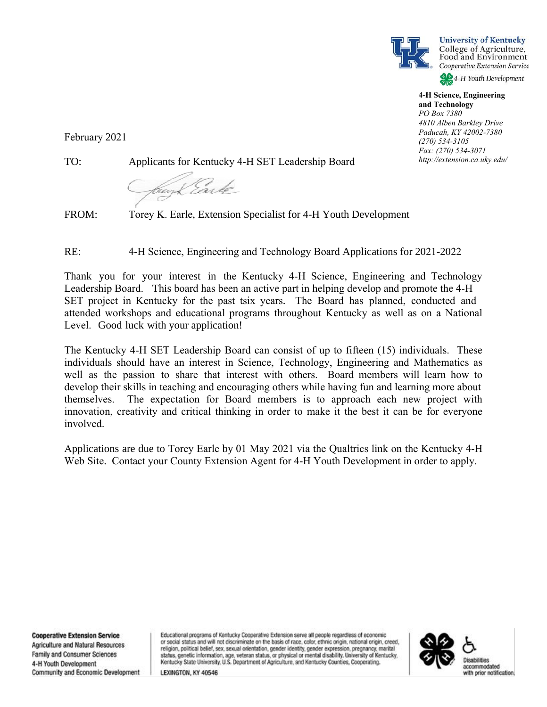



**4-H Science, Engineering and Technology** *PO Box 7380 4810 Alben Barkley Drive*

*Paducah, KY 42002-7380 (270) 534-3105 Fax: (270) 534-3071 http://extension.ca.uky.edu/*

February 2021

TO: Applicants for Kentucky 4-H SET Leadership Board

brey Larle

FROM: Torey K. Earle, Extension Specialist for 4-H Youth Development

RE: 4-H Science, Engineering and Technology Board Applications for 2021-2022

Thank you for your interest in the Kentucky 4-H Science, Engineering and Technology Leadership Board. This board has been an active part in helping develop and promote the 4-H SET project in Kentucky for the past tsix years. The Board has planned, conducted and attended workshops and educational programs throughout Kentucky as well as on a National Level. Good luck with your application!

The Kentucky 4-H SET Leadership Board can consist of up to fifteen (15) individuals. These individuals should have an interest in Science, Technology, Engineering and Mathematics as well as the passion to share that interest with others. Board members will learn how to develop their skills in teaching and encouraging others while having fun and learning more about themselves. The expectation for Board members is to approach each new project with innovation, creativity and critical thinking in order to make it the best it can be for everyone involved.

Applications are due to Torey Earle by 01 May 2021 via the Qualtrics link on the Kentucky 4-H Web Site. Contact your County Extension Agent for 4-H Youth Development in order to apply.

**Cooperative Extension Service** Agriculture and Natural Resources Family and Consumer Sciences 4-H Youth Development Community and Economic Development Educational programs of Kentucky Cooperative Extension serve all people regardless of economic or social status and will not discriminate on the basis of race, color, ethnic origin, national origin, creed, religion, political belief, sex, sexual orientation, gender identity, gender expression, pregnancy, marital status, genetic information, age, veteran status, or physical or mental disability. University of Kentucky, Kentucky State University, U.S. Department of Agriculture, and Kentucky Counties, Cooperating.